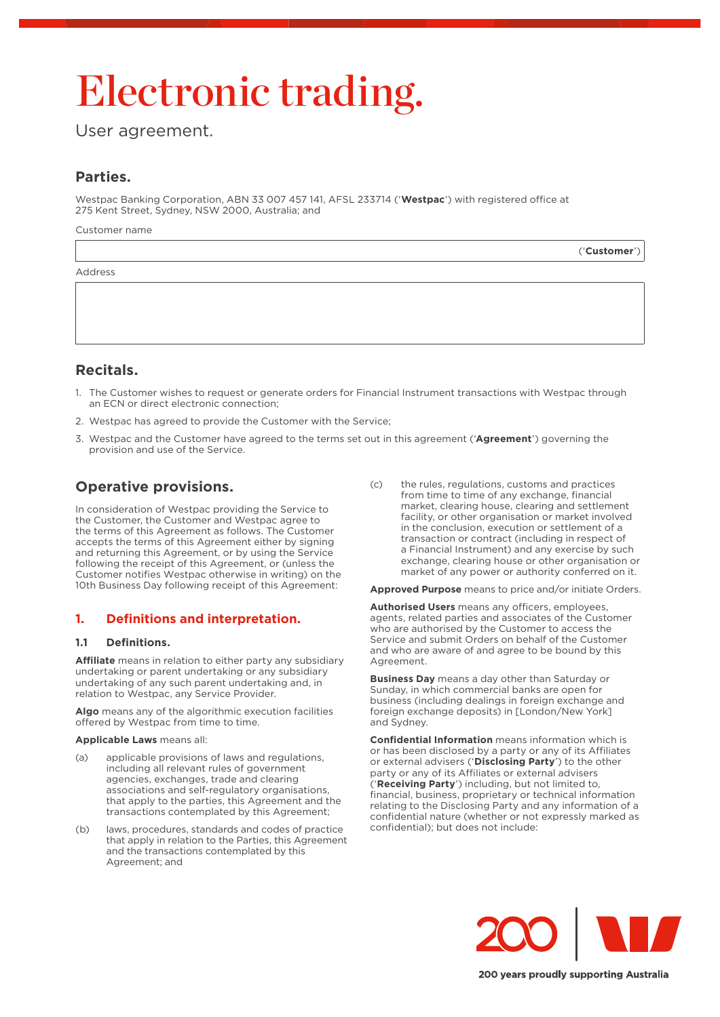# Electronic trading.

User agreement.

# **Parties.**

Westpac Banking Corporation, ABN 33 007 457 141, AFSL 233714 ('**Westpac**') with registered office at 275 Kent Street, Sydney, NSW 2000, Australia; and

Customer name

|         | ('Customer') |
|---------|--------------|
| Address |              |

## **Recitals.**

- 1. The Customer wishes to request or generate orders for Financial Instrument transactions with Westpac through an ECN or direct electronic connection;
- 2. Westpac has agreed to provide the Customer with the Service;
- 3. Westpac and the Customer have agreed to the terms set out in this agreement ('**Agreement**') governing the provision and use of the Service.

# **Operative provisions.**

In consideration of Westpac providing the Service to the Customer, the Customer and Westpac agree to the terms of this Agreement as follows. The Customer accepts the terms of this Agreement either by signing and returning this Agreement, or by using the Service following the receipt of this Agreement, or (unless the Customer notifies Westpac otherwise in writing) on the 10th Business Day following receipt of this Agreement:

## **1. Definitions and interpretation.**

## **1.1 Definitions.**

**Affiliate** means in relation to either party any subsidiary undertaking or parent undertaking or any subsidiary undertaking of any such parent undertaking and, in relation to Westpac, any Service Provider.

**Algo** means any of the algorithmic execution facilities offered by Westpac from time to time.

#### **Applicable Laws** means all:

- (a) applicable provisions of laws and regulations, including all relevant rules of government agencies, exchanges, trade and clearing associations and self-regulatory organisations, that apply to the parties, this Agreement and the transactions contemplated by this Agreement;
- (b) laws, procedures, standards and codes of practice that apply in relation to the Parties, this Agreement and the transactions contemplated by this Agreement; and

(c) the rules, regulations, customs and practices from time to time of any exchange, financial market, clearing house, clearing and settlement facility, or other organisation or market involved in the conclusion, execution or settlement of a transaction or contract (including in respect of a Financial Instrument) and any exercise by such exchange, clearing house or other organisation or market of any power or authority conferred on it.

**Approved Purpose** means to price and/or initiate Orders.

**Authorised Users** means any officers, employees, agents, related parties and associates of the Customer who are authorised by the Customer to access the Service and submit Orders on behalf of the Customer and who are aware of and agree to be bound by this Agreement.

**Business Day** means a day other than Saturday or Sunday, in which commercial banks are open for business (including dealings in foreign exchange and foreign exchange deposits) in [London/New York] and Sydney.

**Confidential Information** means information which is or has been disclosed by a party or any of its Affiliates or external advisers ('**Disclosing Party**') to the other party or any of its Affiliates or external advisers ('**Receiving Party**') including, but not limited to, financial, business, proprietary or technical information relating to the Disclosing Party and any information of a confidential nature (whether or not expressly marked as confidential); but does not include:

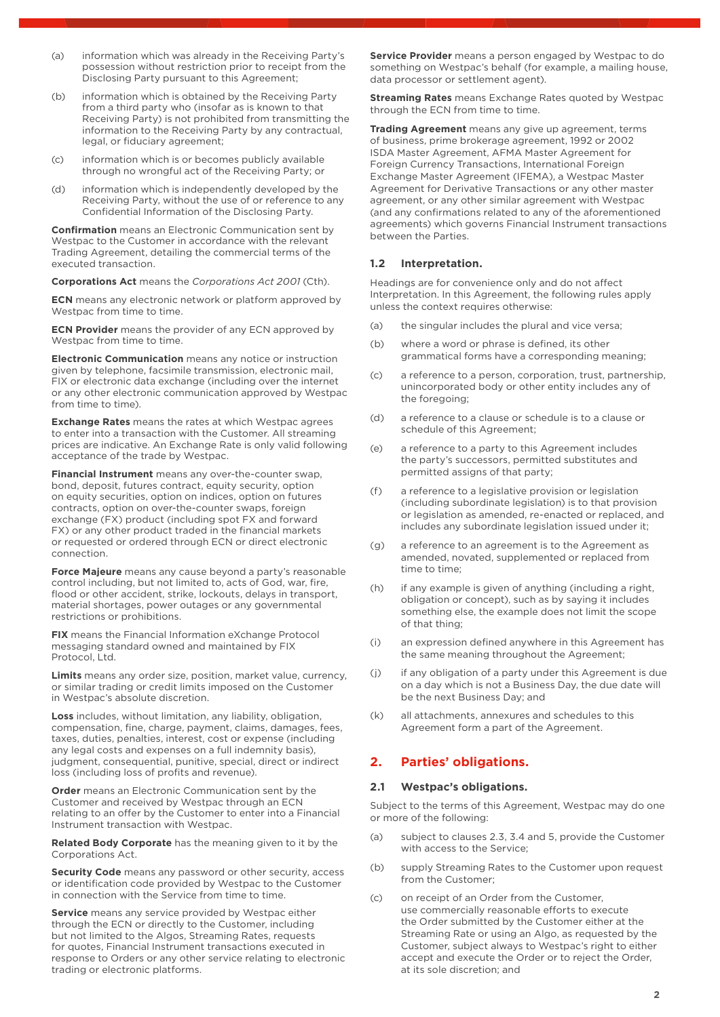- (a) information which was already in the Receiving Party's possession without restriction prior to receipt from the Disclosing Party pursuant to this Agreement;
- (b) information which is obtained by the Receiving Party from a third party who (insofar as is known to that Receiving Party) is not prohibited from transmitting the information to the Receiving Party by any contractual, legal, or fiduciary agreement;
- (c) information which is or becomes publicly available through no wrongful act of the Receiving Party; or
- (d) information which is independently developed by the Receiving Party, without the use of or reference to any Confidential Information of the Disclosing Party.

**Confirmation** means an Electronic Communication sent by Westpac to the Customer in accordance with the relevant Trading Agreement, detailing the commercial terms of the executed transaction.

**Corporations Act** means the *Corporations Act 2001* (Cth).

**ECN** means any electronic network or platform approved by Westpac from time to time.

**ECN Provider** means the provider of any ECN approved by Westpac from time to time.

**Electronic Communication** means any notice or instruction given by telephone, facsimile transmission, electronic mail, FIX or electronic data exchange (including over the internet or any other electronic communication approved by Westpac from time to time).

**Exchange Rates** means the rates at which Westpac agrees to enter into a transaction with the Customer. All streaming prices are indicative. An Exchange Rate is only valid following acceptance of the trade by Westpac.

**Financial Instrument** means any over-the-counter swap, bond, deposit, futures contract, equity security, option on equity securities, option on indices, option on futures contracts, option on over-the-counter swaps, foreign exchange (FX) product (including spot FX and forward FX) or any other product traded in the financial markets or requested or ordered through ECN or direct electronic connection.

**Force Majeure** means any cause beyond a party's reasonable control including, but not limited to, acts of God, war, fire, flood or other accident, strike, lockouts, delays in transport, material shortages, power outages or any governmental restrictions or prohibitions.

**FIX** means the Financial Information eXchange Protocol messaging standard owned and maintained by FIX Protocol, Ltd.

**Limits** means any order size, position, market value, currency, or similar trading or credit limits imposed on the Customer in Westpac's absolute discretion.

**Loss** includes, without limitation, any liability, obligation, compensation, fine, charge, payment, claims, damages, fees, taxes, duties, penalties, interest, cost or expense (including any legal costs and expenses on a full indemnity basis), judgment, consequential, punitive, special, direct or indirect loss (including loss of profits and revenue).

**Order** means an Electronic Communication sent by the Customer and received by Westpac through an ECN relating to an offer by the Customer to enter into a Financial Instrument transaction with Westpac.

**Related Body Corporate** has the meaning given to it by the Corporations Act.

**Security Code** means any password or other security, access or identification code provided by Westpac to the Customer in connection with the Service from time to time.

**Service** means any service provided by Westpac either through the ECN or directly to the Customer, including but not limited to the Algos, Streaming Rates, requests for quotes, Financial Instrument transactions executed in response to Orders or any other service relating to electronic trading or electronic platforms.

**Service Provider** means a person engaged by Westpac to do something on Westpac's behalf (for example, a mailing house, data processor or settlement agent).

**Streaming Rates** means Exchange Rates quoted by Westpac through the ECN from time to time.

**Trading Agreement** means any give up agreement, terms of business, prime brokerage agreement, 1992 or 2002 ISDA Master Agreement, AFMA Master Agreement for Foreign Currency Transactions, International Foreign Exchange Master Agreement (IFEMA), a Westpac Master Agreement for Derivative Transactions or any other master agreement, or any other similar agreement with Westpac (and any confirmations related to any of the aforementioned agreements) which governs Financial Instrument transactions between the Parties.

## **1.2 Interpretation.**

Headings are for convenience only and do not affect Interpretation. In this Agreement, the following rules apply unless the context requires otherwise:

- (a) the singular includes the plural and vice versa;
- (b) where a word or phrase is defined, its other grammatical forms have a corresponding meaning;
- (c) a reference to a person, corporation, trust, partnership, unincorporated body or other entity includes any of the foregoing;
- (d) a reference to a clause or schedule is to a clause or schedule of this Agreement;
- (e) a reference to a party to this Agreement includes the party's successors, permitted substitutes and permitted assigns of that party;
- (f) a reference to a legislative provision or legislation (including subordinate legislation) is to that provision or legislation as amended, re-enacted or replaced, and includes any subordinate legislation issued under it;
- (g) a reference to an agreement is to the Agreement as amended, novated, supplemented or replaced from time to time;
- (h) if any example is given of anything (including a right, obligation or concept), such as by saying it includes something else, the example does not limit the scope of that thing;
- (i) an expression defined anywhere in this Agreement has the same meaning throughout the Agreement;
- (j) if any obligation of a party under this Agreement is due on a day which is not a Business Day, the due date will be the next Business Day; and
- (k) all attachments, annexures and schedules to this Agreement form a part of the Agreement.

## **2. Parties' obligations.**

#### **2.1 Westpac's obligations.**

Subject to the terms of this Agreement, Westpac may do one or more of the following:

- (a) subject to clauses 2.3, 3.4 and 5, provide the Customer with access to the Service;
- (b) supply Streaming Rates to the Customer upon request from the Customer;
- (c) on receipt of an Order from the Customer, use commercially reasonable efforts to execute the Order submitted by the Customer either at the Streaming Rate or using an Algo, as requested by the Customer, subject always to Westpac's right to either accept and execute the Order or to reject the Order, at its sole discretion; and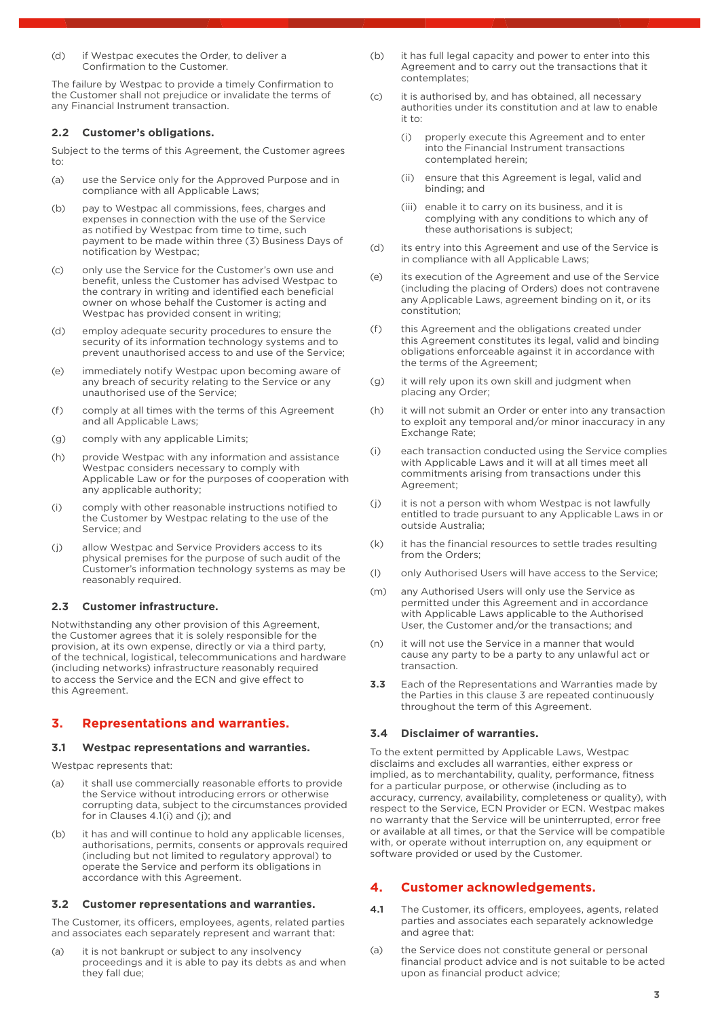(d) if Westpac executes the Order, to deliver a Confirmation to the Customer.

The failure by Westpac to provide a timely Confirmation to the Customer shall not prejudice or invalidate the terms of any Financial Instrument transaction.

#### **2.2 Customer's obligations.**

Subject to the terms of this Agreement, the Customer agrees to:

- (a) use the Service only for the Approved Purpose and in compliance with all Applicable Laws;
- (b) pay to Westpac all commissions, fees, charges and expenses in connection with the use of the Service as notified by Westpac from time to time, such payment to be made within three (3) Business Days of notification by Westpac;
- (c) only use the Service for the Customer's own use and benefit, unless the Customer has advised Westpac to the contrary in writing and identified each beneficial owner on whose behalf the Customer is acting and Westpac has provided consent in writing;
- (d) employ adequate security procedures to ensure the security of its information technology systems and to prevent unauthorised access to and use of the Service;
- (e) immediately notify Westpac upon becoming aware of any breach of security relating to the Service or any unauthorised use of the Service;
- (f) comply at all times with the terms of this Agreement and all Applicable Laws;
- (g) comply with any applicable Limits;
- (h) provide Westpac with any information and assistance Westpac considers necessary to comply with Applicable Law or for the purposes of cooperation with any applicable authority;
- (i) comply with other reasonable instructions notified to the Customer by Westpac relating to the use of the Service; and
- (j) allow Westpac and Service Providers access to its physical premises for the purpose of such audit of the Customer's information technology systems as may be reasonably required.

#### **2.3 Customer infrastructure.**

Notwithstanding any other provision of this Agreement, the Customer agrees that it is solely responsible for the provision, at its own expense, directly or via a third party, of the technical, logistical, telecommunications and hardware (including networks) infrastructure reasonably required to access the Service and the ECN and give effect to this Agreement.

## **3. Representations and warranties.**

#### **3.1 Westpac representations and warranties.**

Westpac represents that:

- (a) it shall use commercially reasonable efforts to provide the Service without introducing errors or otherwise corrupting data, subject to the circumstances provided for in Clauses 4.1(i) and (j); and
- (b) it has and will continue to hold any applicable licenses, authorisations, permits, consents or approvals required (including but not limited to regulatory approval) to operate the Service and perform its obligations in accordance with this Agreement.

#### **3.2 Customer representations and warranties.**

The Customer, its officers, employees, agents, related parties and associates each separately represent and warrant that:

(a) it is not bankrupt or subject to any insolvency proceedings and it is able to pay its debts as and when they fall due;

- (b) it has full legal capacity and power to enter into this Agreement and to carry out the transactions that it contemplates;
- (c) it is authorised by, and has obtained, all necessary authorities under its constitution and at law to enable it to:
	- (i) properly execute this Agreement and to enter into the Financial Instrument transactions contemplated herein;
	- (ii) ensure that this Agreement is legal, valid and binding; and
	- (iii) enable it to carry on its business, and it is complying with any conditions to which any of these authorisations is subject;
- (d) its entry into this Agreement and use of the Service is in compliance with all Applicable Laws;
- (e) its execution of the Agreement and use of the Service (including the placing of Orders) does not contravene any Applicable Laws, agreement binding on it, or its constitution;
- (f) this Agreement and the obligations created under this Agreement constitutes its legal, valid and binding obligations enforceable against it in accordance with the terms of the Agreement;
- (g) it will rely upon its own skill and judgment when placing any Order;
- (h) it will not submit an Order or enter into any transaction to exploit any temporal and/or minor inaccuracy in any Exchange Rate;
- (i) each transaction conducted using the Service complies with Applicable Laws and it will at all times meet all commitments arising from transactions under this Agreement;
- (j) it is not a person with whom Westpac is not lawfully entitled to trade pursuant to any Applicable Laws in or outside Australia;
- (k) it has the financial resources to settle trades resulting from the Orders;
- (l) only Authorised Users will have access to the Service;
- (m) any Authorised Users will only use the Service as permitted under this Agreement and in accordance with Applicable Laws applicable to the Authorised User, the Customer and/or the transactions; and
- (n) it will not use the Service in a manner that would cause any party to be a party to any unlawful act or transaction.
- **3.3** Each of the Representations and Warranties made by the Parties in this clause 3 are repeated continuously throughout the term of this Agreement.

#### **3.4 Disclaimer of warranties.**

To the extent permitted by Applicable Laws, Westpac disclaims and excludes all warranties, either express or implied, as to merchantability, quality, performance, fitness for a particular purpose, or otherwise (including as to accuracy, currency, availability, completeness or quality), with respect to the Service, ECN Provider or ECN. Westpac makes no warranty that the Service will be uninterrupted, error free or available at all times, or that the Service will be compatible with, or operate without interruption on, any equipment or software provided or used by the Customer.

## **4. Customer acknowledgements.**

- **4.1** The Customer, its officers, employees, agents, related parties and associates each separately acknowledge and agree that:
- (a) the Service does not constitute general or personal financial product advice and is not suitable to be acted upon as financial product advice;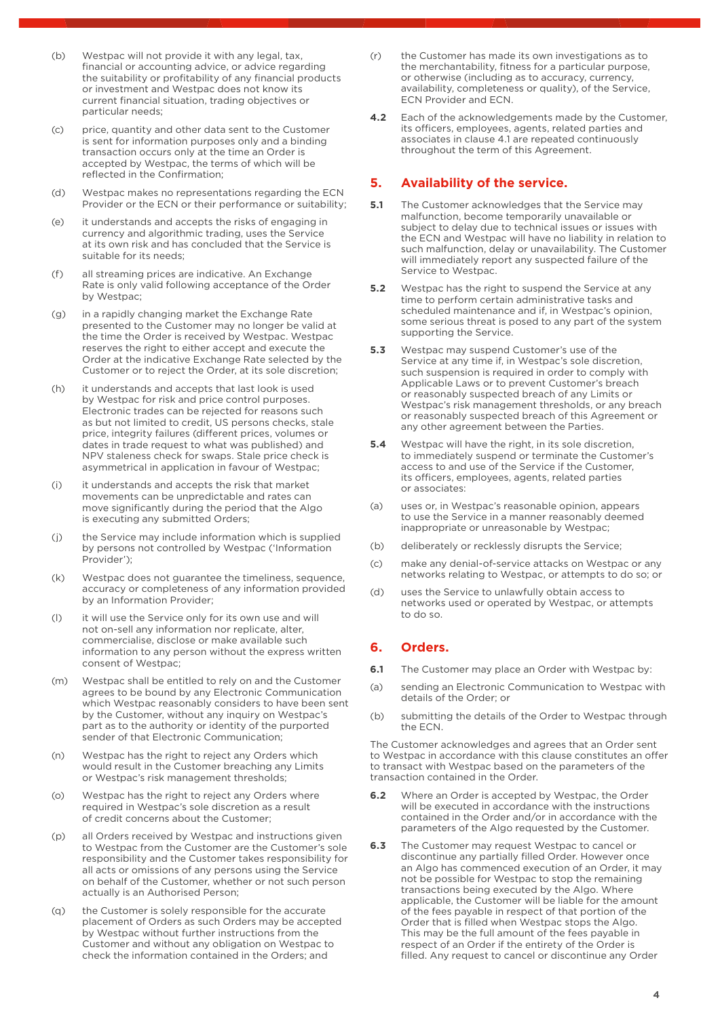- (b) Westpac will not provide it with any legal, tax, financial or accounting advice, or advice regarding the suitability or profitability of any financial products or investment and Westpac does not know its current financial situation, trading objectives or particular needs;
- (c) price, quantity and other data sent to the Customer is sent for information purposes only and a binding transaction occurs only at the time an Order is accepted by Westpac, the terms of which will be reflected in the Confirmation;
- (d) Westpac makes no representations regarding the ECN Provider or the ECN or their performance or suitability;
- (e) it understands and accepts the risks of engaging in currency and algorithmic trading, uses the Service at its own risk and has concluded that the Service is suitable for its needs;
- (f) all streaming prices are indicative. An Exchange Rate is only valid following acceptance of the Order by Westpac;
- (g) in a rapidly changing market the Exchange Rate presented to the Customer may no longer be valid at the time the Order is received by Westpac. Westpac reserves the right to either accept and execute the Order at the indicative Exchange Rate selected by the Customer or to reject the Order, at its sole discretion;
- (h) it understands and accepts that last look is used by Westpac for risk and price control purposes. Electronic trades can be rejected for reasons such as but not limited to credit, US persons checks, stale price, integrity failures (different prices, volumes or dates in trade request to what was published) and NPV staleness check for swaps. Stale price check is asymmetrical in application in favour of Westpac;
- (i) it understands and accepts the risk that market movements can be unpredictable and rates can move significantly during the period that the Algo is executing any submitted Orders;
- (j) the Service may include information which is supplied by persons not controlled by Westpac ('Information Provider');
- (k) Westpac does not guarantee the timeliness, sequence, accuracy or completeness of any information provided by an Information Provider;
- (l) it will use the Service only for its own use and will not on-sell any information nor replicate, alter, commercialise, disclose or make available such information to any person without the express written consent of Westpac;
- (m) Westpac shall be entitled to rely on and the Customer agrees to be bound by any Electronic Communication which Westpac reasonably considers to have been sent by the Customer, without any inquiry on Westpac's part as to the authority or identity of the purported sender of that Electronic Communication;
- (n) Westpac has the right to reject any Orders which would result in the Customer breaching any Limits or Westpac's risk management thresholds;
- (o) Westpac has the right to reject any Orders where required in Westpac's sole discretion as a result of credit concerns about the Customer;
- (p) all Orders received by Westpac and instructions given to Westpac from the Customer are the Customer's sole responsibility and the Customer takes responsibility for all acts or omissions of any persons using the Service on behalf of the Customer, whether or not such person actually is an Authorised Person;
- (q) the Customer is solely responsible for the accurate placement of Orders as such Orders may be accepted by Westpac without further instructions from the Customer and without any obligation on Westpac to check the information contained in the Orders; and
- (r) the Customer has made its own investigations as to the merchantability, fitness for a particular purpose, or otherwise (including as to accuracy, currency, availability, completeness or quality), of the Service, ECN Provider and ECN.
- **4.2** Each of the acknowledgements made by the Customer, its officers, employees, agents, related parties and associates in clause 4.1 are repeated continuously throughout the term of this Agreement.

## **5. Availability of the service.**

- **5.1** The Customer acknowledges that the Service may malfunction, become temporarily unavailable or subject to delay due to technical issues or issues with subject to delay the contribution of the ECN and Westpac will have no liability in relation to such malfunction, delay or unavailability. The Customer will immediately report any suspected failure of the Service to Westpac.
- **5.2** Westpac has the right to suspend the Service at any time to perform certain administrative tasks and scheduled maintenance and if, in Westpac's opinion, some serious threat is posed to any part of the system supporting the Service.
- **5.3** Westpac may suspend Customer's use of the Service at any time if, in Westpac's sole discretion, such suspension is required in order to comply with Applicable Laws or to prevent Customer's breach or reasonably suspected breach of any Limits or Westpac's risk management thresholds, or any breach or reasonably suspected breach of this Agreement or any other agreement between the Parties.
- **5.4** Westpac will have the right, in its sole discretion. to immediately suspend or terminate the Customer's access to and use of the Service if the Customer, its officers, employees, agents, related parties or associates:
- (a) uses or, in Westpac's reasonable opinion, appears to use the Service in a manner reasonably deemed inappropriate or unreasonable by Westpac;
- (b) deliberately or recklessly disrupts the Service;
- (c) make any denial-of-service attacks on Westpac or any networks relating to Westpac, or attempts to do so; or
- (d) uses the Service to unlawfully obtain access to networks used or operated by Westpac, or attempts to do so.

## **6. Orders.**

- **6.1** The Customer may place an Order with Westpac by:
- (a) sending an Electronic Communication to Westpac with details of the Order; or
- (b) submitting the details of the Order to Westpac through the ECN.

The Customer acknowledges and agrees that an Order sent to Westpac in accordance with this clause constitutes an offer to transact with Westpac based on the parameters of the transaction contained in the Order.

- **6.2** Where an Order is accepted by Westpac, the Order will be executed in accordance with the instructions contained in the Order and/or in accordance with the parameters of the Algo requested by the Customer.
- **6.3** The Customer may request Westpac to cancel or discontinue any partially filled Order. However once an Algo has commenced execution of an Order, it may not be possible for Westpac to stop the remaining transactions being executed by the Algo. Where applicable, the Customer will be liable for the amount of the fees payable in respect of that portion of the Order that is filled when Westpac stops the Algo. This may be the full amount of the fees payable in respect of an Order if the entirety of the Order is filled. Any request to cancel or discontinue any Order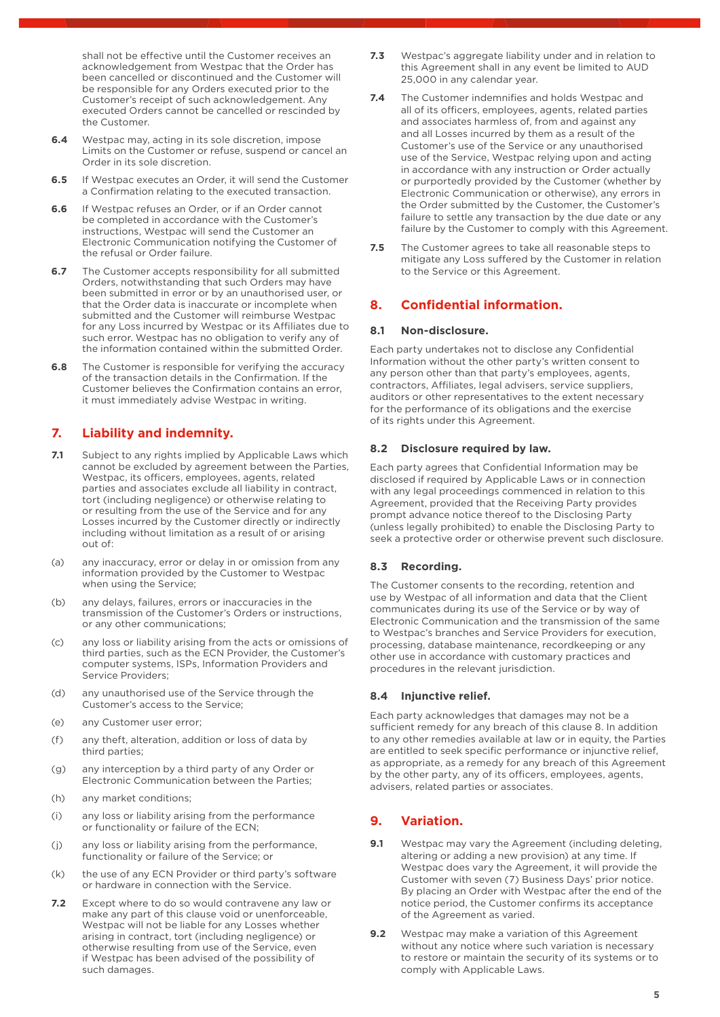shall not be effective until the Customer receives an acknowledgement from Westpac that the Order has been cancelled or discontinued and the Customer will be responsible for any Orders executed prior to the Customer's receipt of such acknowledgement. Any executed Orders cannot be cancelled or rescinded by the Customer.

- **6.4** Westpac may, acting in its sole discretion, impose Limits on the Customer or refuse, suspend or cancel an Order in its sole discretion.
- **6.5** If Westpac executes an Order, it will send the Customer a Confirmation relating to the executed transaction.
- **6.6** If Westpac refuses an Order, or if an Order cannot be completed in accordance with the Customer's instructions, Westpac will send the Customer an Electronic Communication notifying the Customer of the refusal or Order failure.
- **6.7** The Customer accepts responsibility for all submitted Orders, notwithstanding that such Orders may have been submitted in error or by an unauthorised user, or that the Order data is inaccurate or incomplete when submitted and the Customer will reimburse Westpac for any Loss incurred by Westpac or its Affiliates due to such error. Westpac has no obligation to verify any of the information contained within the submitted Order.
- **6.8** The Customer is responsible for verifying the accuracy of the transaction details in the Confirmation. If the Customer believes the Confirmation contains an error, it must immediately advise Westpac in writing.

## **7. Liability and indemnity.**

- **7.1** Subject to any rights implied by Applicable Laws which cannot be excluded by agreement between the Parties, Westpac, its officers, employees, agents, related parties and associates exclude all liability in contract, tort (including negligence) or otherwise relating to or resulting from the use of the Service and for any Losses incurred by the Customer directly or indirectly including without limitation as a result of or arising out of:
- (a) any inaccuracy, error or delay in or omission from any information provided by the Customer to Westpac when using the Service;
- (b) any delays, failures, errors or inaccuracies in the transmission of the Customer's Orders or instructions, or any other communications;
- (c) any loss or liability arising from the acts or omissions of third parties, such as the ECN Provider, the Customer's computer systems, ISPs, Information Providers and Service Providers;
- (d) any unauthorised use of the Service through the Customer's access to the Service;
- (e) any Customer user error;
- (f) any theft, alteration, addition or loss of data by third parties;
- (g) any interception by a third party of any Order or Electronic Communication between the Parties;
- (h) any market conditions;
- (i) any loss or liability arising from the performance or functionality or failure of the ECN;
- (j) any loss or liability arising from the performance, functionality or failure of the Service; or
- (k) the use of any ECN Provider or third party's software or hardware in connection with the Service.
- **7.2** Except where to do so would contravene any law or make any part of this clause void or unenforceable, Westpac will not be liable for any Losses whether arising in contract, tort (including negligence) or otherwise resulting from use of the Service, even if Westpac has been advised of the possibility of such damages.
- **7.3** Westpac's aggregate liability under and in relation to this Agreement shall in any event be limited to AUD 25,000 in any calendar year.
- **7.4** The Customer indemnifies and holds Westpac and all of its officers, employees, agents, related parties and associates harmless of, from and against any and all Losses incurred by them as a result of the Customer's use of the Service or any unauthorised use of the Service, Westpac relying upon and acting in accordance with any instruction or Order actually or purportedly provided by the Customer (whether by Electronic Communication or otherwise), any errors in the Order submitted by the Customer, the Customer's failure to settle any transaction by the due date or any failure by the Customer to comply with this Agreement.
- **7.5** The Customer agrees to take all reasonable steps to mitigate any Loss suffered by the Customer in relation to the Service or this Agreement.

## **8. Confidential information.**

## **8.1 Non-disclosure.**

Each party undertakes not to disclose any Confidential Information without the other party's written consent to any person other than that party's employees, agents, contractors, Affiliates, legal advisers, service suppliers, auditors or other representatives to the extent necessary for the performance of its obligations and the exercise of its rights under this Agreement.

## **8.2 Disclosure required by law.**

Each party agrees that Confidential Information may be disclosed if required by Applicable Laws or in connection with any legal proceedings commenced in relation to this Agreement, provided that the Receiving Party provides prompt advance notice thereof to the Disclosing Party (unless legally prohibited) to enable the Disclosing Party to seek a protective order or otherwise prevent such disclosure.

## **8.3 Recording.**

The Customer consents to the recording, retention and use by Westpac of all information and data that the Client communicates during its use of the Service or by way of Electronic Communication and the transmission of the same to Westpac's branches and Service Providers for execution, processing, database maintenance, recordkeeping or any other use in accordance with customary practices and procedures in the relevant jurisdiction.

## **8.4 Injunctive relief.**

Each party acknowledges that damages may not be a sufficient remedy for any breach of this clause 8. In addition to any other remedies available at law or in equity, the Parties are entitled to seek specific performance or injunctive relief, as appropriate, as a remedy for any breach of this Agreement by the other party, any of its officers, employees, agents, advisers, related parties or associates.

## **9. Variation.**

- **9.1** Westpac may vary the Agreement (including deleting, altering or adding a new provision) at any time. If Westpac does vary the Agreement, it will provide the Customer with seven (7) Business Days' prior notice. By placing an Order with Westpac after the end of the notice period, the Customer confirms its acceptance of the Agreement as varied.
- **9.2** Westpac may make a variation of this Agreement without any notice where such variation is necessary to restore or maintain the security of its systems or to comply with Applicable Laws.